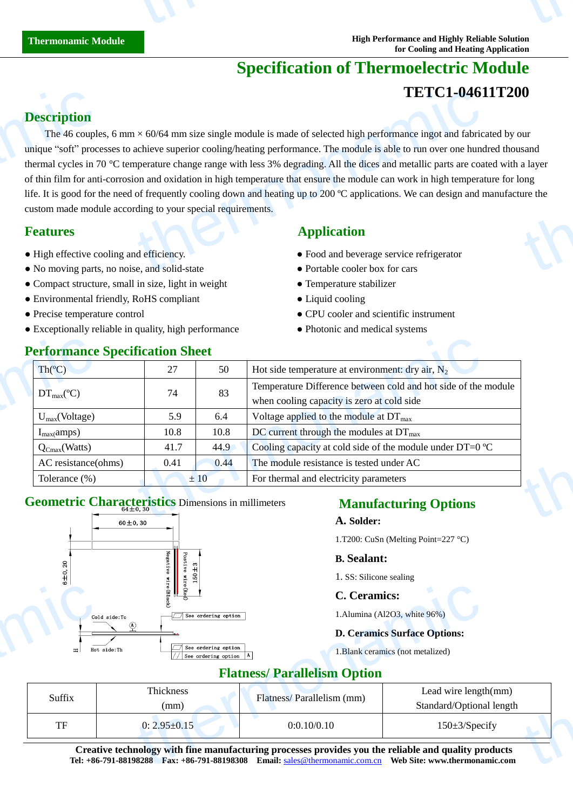# **Specification of Thermoelectric Module TETC1-04611T200**

# **Description**

The 46 couples, 6 mm  $\times$  60/64 mm size single module is made of selected high performance ingot and fabricated by our unique "soft" processes to achieve superior cooling/heating performance. The module is able to run over one hundred thousand thermal cycles in 70 °C temperature change range with less 3% degrading. All the dices and metallic parts are coated with a layer of thin film for anti-corrosion and oxidation in high temperature that ensure the module can work in high temperature for long life. It is good for the need of frequently cooling down and heating up to 200  $\degree$  C applications. We can design and manufacture the custom made module according to your special requirements. **Description**<br>The 46 couple<br>unique "soft" proc<br>thermal cycles in 7<br>of thin film for ant<br>life. It is good for t<br>custom made mod<br>**Features**<br>• High effective co<br>• No moving parts TETC1-0461<br>  $\times$  60/64 mm size single module is made of selected high performance ingot and fabric<br>
achieve superior cooling/heating performance. The module is able to run over one hund<br>
apperature change range with less our<br>sand<br>a layer<br>ure the<br>ure the

- 
- No moving parts, no noise, and solid-state Portable cooler box for cars
- Compact structure, small in size, light in weight **•** Temperature stabilizer
- Environmental friendly, RoHS compliant Liquid cooling
- 
- Exceptionally reliable in quality, high performance • Photonic and medical systems

# **Performance Specification Sheet**

## **Features Application**

- High effective cooling and efficiency. <br>• Food and beverage service refrigerator
	-
	-
	-
- Precise temperature control CPU cooler and scientific instrument
	-

| Th $(C)$                                 | 27   |      | Hot side temperature at environment: dry air, $N_2$                 |  |
|------------------------------------------|------|------|---------------------------------------------------------------------|--|
| $DT_{\text{max}}(\mathbb{C})$            | 74   | 83   | Temperature Difference between cold and hot side of the module      |  |
|                                          |      |      | when cooling capacity is zero at cold side                          |  |
| $U_{max}(Voltage)$                       | 5.9  | 6.4  | Voltage applied to the module at $DT_{\text{max}}$                  |  |
| $I_{max}(amps)$                          | 10.8 | 10.8 | DC current through the modules at $DT_{\text{max}}$                 |  |
| $\mathsf{Q}_{\text{Cmax}}(\text{Watts})$ | 41.7 | 44.9 | Cooling capacity at cold side of the module under DT=0 $\mathbb{C}$ |  |
| AC resistance(ohms)                      | 0.41 | 0.44 | The module resistance is tested under AC                            |  |
| Tolerance (%)                            |      | ±10  | For thermal and electricity parameters                              |  |

# **Geometric Characteristics** Dimensions in millimeters



### **Manufacturing Options**

#### **A. Solder:**

1.T200: CuSn (Melting Point=227 °C)

#### **B. Sealant:**

1. SS: Silicone sealing

#### **C. Ceramics:**

#### **D. Ceramics Surface Options:**

### **Flatness/ Parallelism Option**

| ഄ<br>Cold side:Tc<br>Hot side:Th | $\frac{1}{2}$<br>$\Box$ See ordering option<br>See ordering option<br>See ordering option A | C. Ceramics:                                                                                                                                                                          | 1. Alumina (Al2O3, white 96%)<br><b>D. Ceramics Surface Options:</b><br>1. Blank ceramics (not metalized) |  |
|----------------------------------|---------------------------------------------------------------------------------------------|---------------------------------------------------------------------------------------------------------------------------------------------------------------------------------------|-----------------------------------------------------------------------------------------------------------|--|
|                                  |                                                                                             | <b>Flatness/Parallelism Option</b>                                                                                                                                                    |                                                                                                           |  |
| Suffix                           | Thickness<br>(mm)                                                                           | Flatness/Parallelism (mm)                                                                                                                                                             | Lead wire length(mm)<br>Standard/Optional length                                                          |  |
| TF                               | $0: 2.95 \pm 0.15$                                                                          | 0:0.10/0.10                                                                                                                                                                           | $150 \pm 3$ /Specify                                                                                      |  |
|                                  |                                                                                             | Creative technology with fine manufacturing processes provides you the reliable and quality products<br>Tel: +86-791-88198288  Fax: +86-791-88198308  Email: sales@thermonamic.com.cn | Web Site: www.thermonamic.com                                                                             |  |

Creative technology with fine manufacturing processes provides you the reliable and quality products **Tel: +86-791-88198288 Fax: +86-791-88198308 Email:** sales@thermonamic.com.cn **Web Site: www.thermonamic.com B. Sealant:**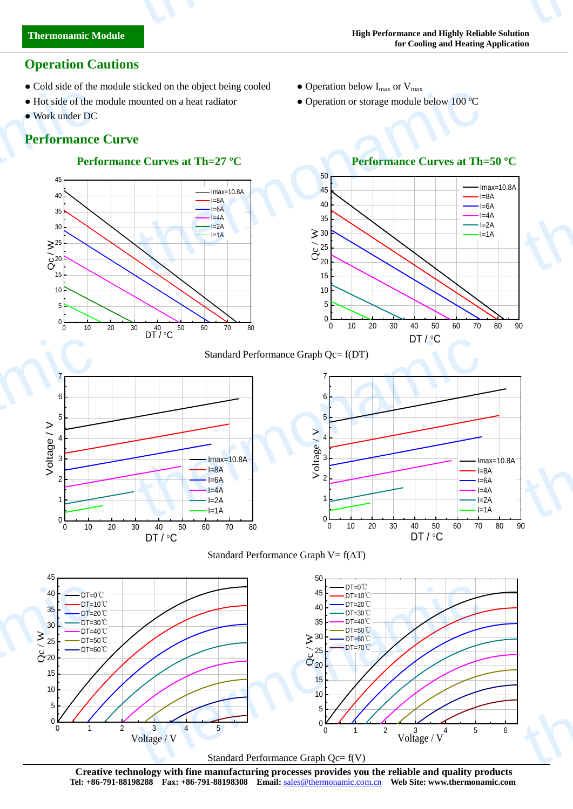# **Performance Curve**

● Work under DC

**Thermonamic Module**

thermonamic

**Operation Cautions**

# **Performance Curves at Th=27 <sup>°</sup>C Performance Curves at Th=50 °C**





• Cold side of the module sticked on the object being cooled • Operation below  $I_{max}$  or  $V_{max}$ 

 $5$   $\sim$   $\sim$   $\sim$  $10 \rightarrow$  $\sim$  15  $\sim$  15  $\sim$  15  $\sim$  15  $\sim$  15  $\sim$  15  $\sim$  15  $\sim$  15  $\sim$  15  $\sim$  15  $\sim$  15  $\sim$  15  $\sim$  15  $\sim$  15  $\sim$  15  $\sim$  15  $\sim$  15  $\sim$  15  $\sim$  15  $\sim$  15  $\sim$  15  $\sim$  15  $\sim$  15  $\sim$  15  $\sim$  15  $\sim$  15  $\sim$  15  $\sim$  20  $\sim$   $\sim$   $\sim$  $25$   $\rightarrow$   $\rightarrow$   $\rightarrow$  $30 \sim \sqrt{2 \cdot 1}$ 35 40  $\rightarrow$  $45<sub>5</sub>$ 50

• Hot side of the module mounted on a heat radiator • Operation or storage module below 100 °C







 $\begin{array}{c}\n\geq 30 \\
\ominus 25 \\
\ominus 20\n\end{array}$ 

 $DT / <sup>°</sup>C$ 





Imax=10.8A  $I=8A$ 

 $I=4A$ 

 $I=6A$   $\uparrow$ 

 $I=2A$ 

**Creative technology with fine manufacturing processes provides you the reliable and quality products Tel: +86-791-88198288 Fax: +86-791-88198308 Email:** sales@thermonamic.com.cn **Web Site: www.thermonamic.com**